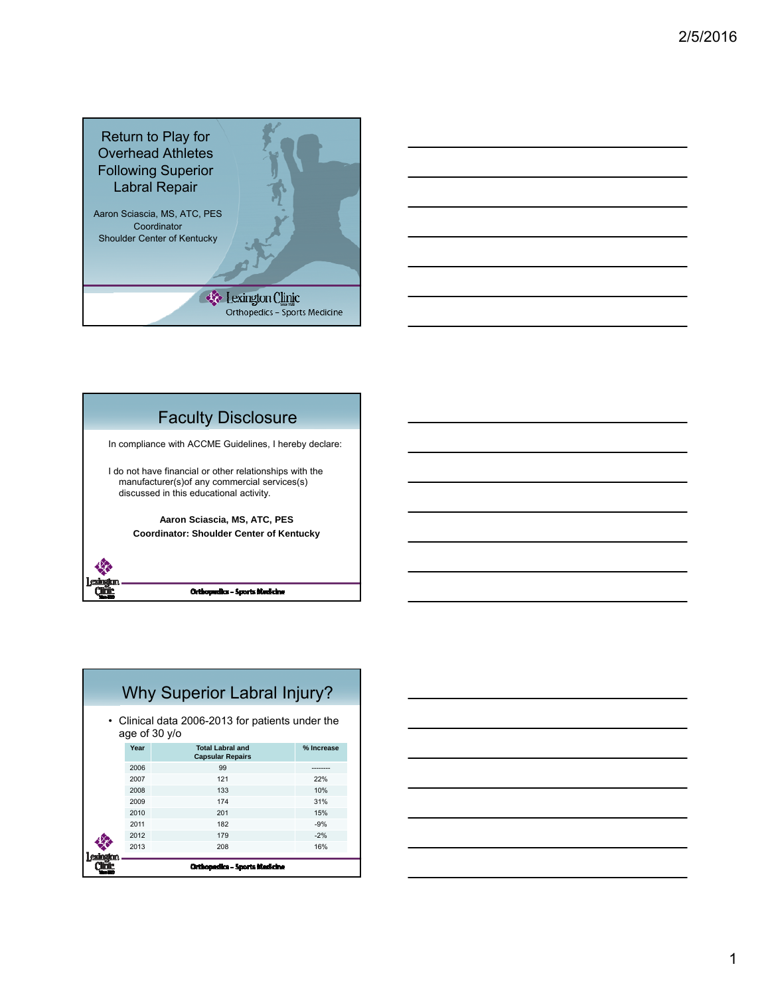



# Faculty Disclosure

In compliance with ACCME Guidelines, I hereby declare:

I do not have financial or other relationships with the manufacturer(s)of any commercial services(s) discussed in this educational activity.

> **Aaron Sciascia, MS, ATC, PES Coordinator: Shoulder Center of Kentucky**

| Why Superior Labral Injury? |                                                                   |                                                    |            |  |  |  |  |  |
|-----------------------------|-------------------------------------------------------------------|----------------------------------------------------|------------|--|--|--|--|--|
|                             | • Clinical data 2006-2013 for patients under the<br>age of 30 y/o |                                                    |            |  |  |  |  |  |
|                             | Year                                                              | <b>Total Labral and</b><br><b>Capsular Repairs</b> | % Increase |  |  |  |  |  |
|                             | 2006                                                              | 99                                                 |            |  |  |  |  |  |
|                             | 2007                                                              | 121                                                | 22%        |  |  |  |  |  |
|                             | 2008                                                              | 133                                                | 10%        |  |  |  |  |  |
|                             | 2009                                                              | 174                                                | 31%        |  |  |  |  |  |
|                             | 2010                                                              | 201                                                | 15%        |  |  |  |  |  |
|                             | 2011                                                              | 182                                                | $-9%$      |  |  |  |  |  |
|                             | 2012                                                              | 179                                                | $-2%$      |  |  |  |  |  |
|                             | 2013                                                              | 208                                                | 16%        |  |  |  |  |  |
|                             |                                                                   | Orthopedics - Sports Medicine                      |            |  |  |  |  |  |

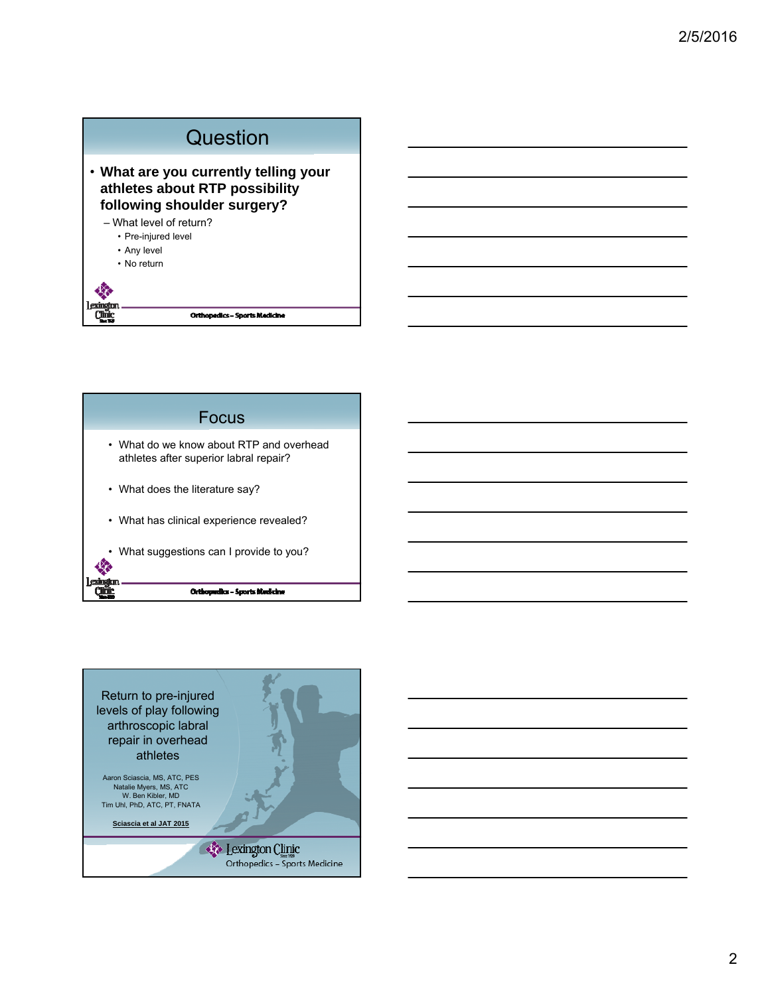



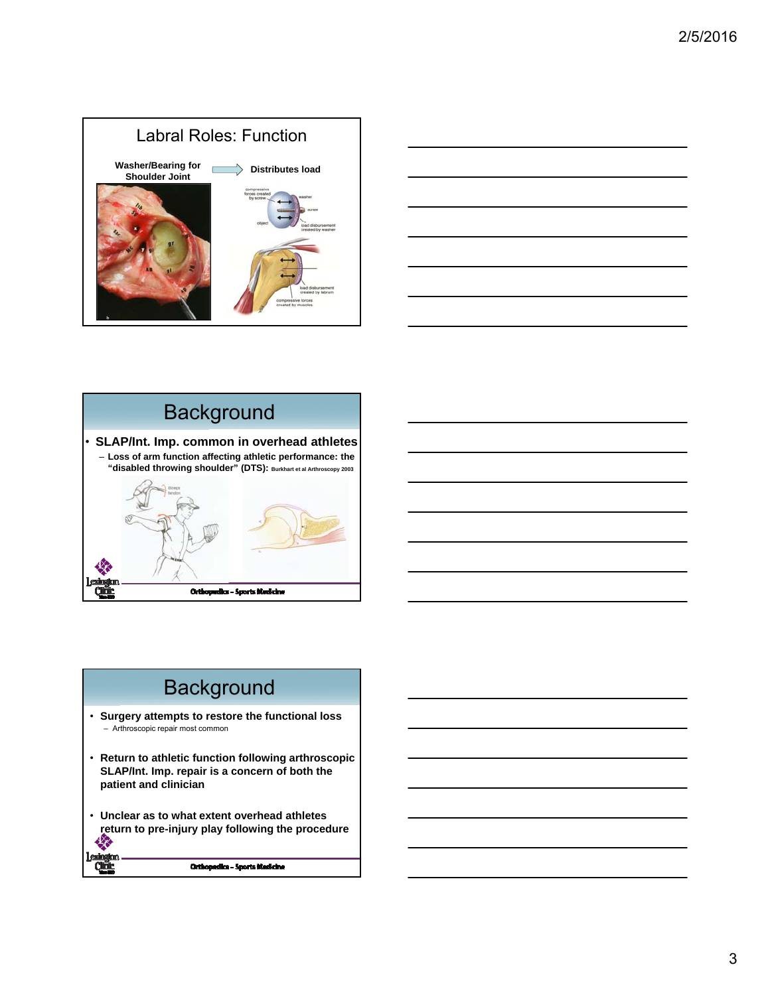





## **Background**

- **Surgery attempts to restore the functional loss** – Arthroscopic repair most common
- **Return to athletic function following arthroscopic SLAP/Int. Imp. repair is a concern of both the patient and clinician**
- **Unclear as to what extent overhead athletes return to pre-injury play following the procedure** ₩

#### Orthopedice - Sports Medicine

**Clinic**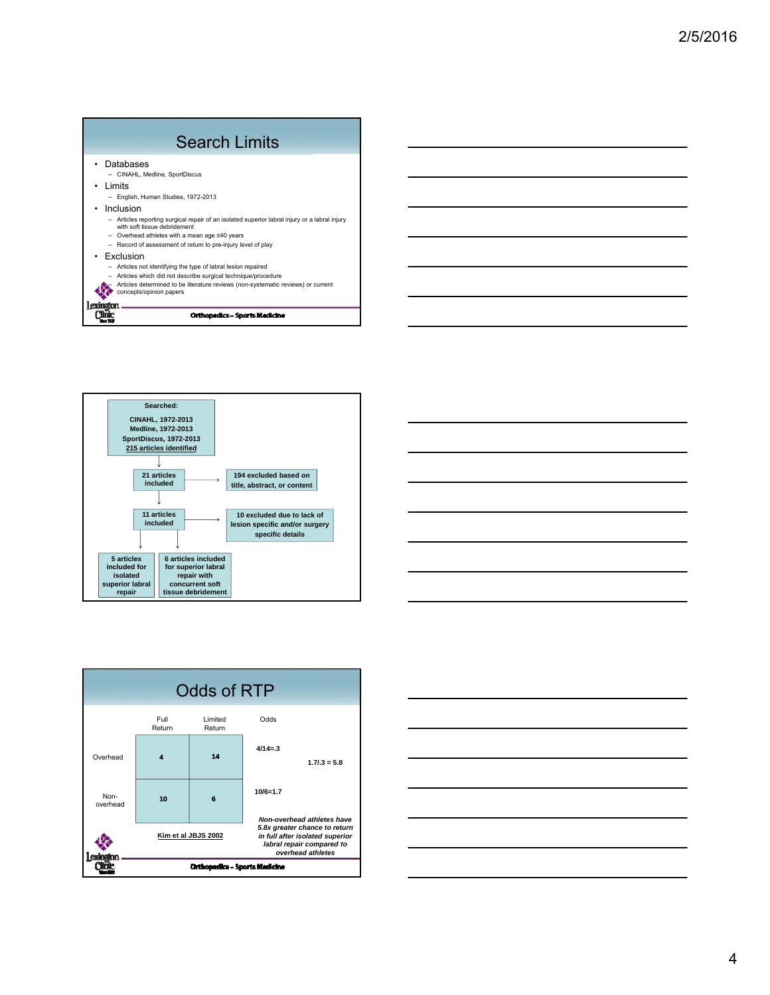|   | <b>Search Limits</b>                                                                                                                                                                                                                        |
|---|---------------------------------------------------------------------------------------------------------------------------------------------------------------------------------------------------------------------------------------------|
| ٠ | Databases<br>- CINAHL, Medline, SportDiscus<br>I imits<br>- English, Human Studies, 1972-2013<br>Inclusion<br>- Articles reporting surgical repair of an isolated superior labral injury or a labral injury<br>with soft tissue debridement |
|   | Overhead athletes with a mean age ≤40 years<br>- Record of assessment of return to pre-injury level of play<br>Exclusion                                                                                                                    |
|   | Articles not identifying the type of labral lesion repaired<br>Articles which did not describe surgical technique/procedure<br>Articles determined to be literature reviews (non-systematic reviews) or current<br>concepts/opinion papers  |
|   | Orthopedics - Sports Medicine                                                                                                                                                                                                               |







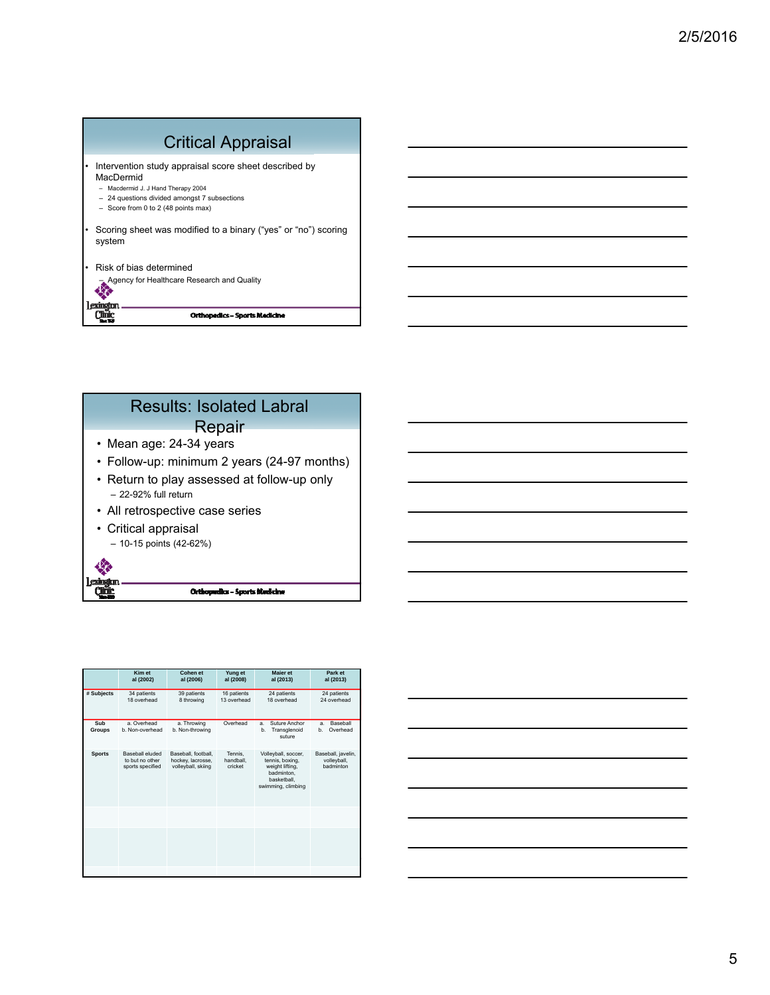| <b>Critical Appraisal</b>                                                                                                                                                                       |
|-------------------------------------------------------------------------------------------------------------------------------------------------------------------------------------------------|
| Intervention study appraisal score sheet described by<br>MacDermid<br>- Macdermid J. J Hand Therapy 2004<br>- 24 questions divided amongst 7 subsections<br>- Score from 0 to 2 (48 points max) |
| Scoring sheet was modified to a binary ("yes" or "no") scoring<br>system                                                                                                                        |
| Risk of bias determined<br>Agency for Healthcare Research and Quality                                                                                                                           |
| Orthopedics – Sports Medicine                                                                                                                                                                   |



|                      | Kim et<br>al (2002)                                           | Cohen et<br>al (2006)                                          | Yung et<br>al (2008)            | <b>Maier</b> et<br>al (2013)                                                                                 | Park et<br>al (2013)                           |
|----------------------|---------------------------------------------------------------|----------------------------------------------------------------|---------------------------------|--------------------------------------------------------------------------------------------------------------|------------------------------------------------|
| # Subjects           | 34 patients<br>18 overhead                                    | 39 patients<br>8 throwing                                      | 16 patients<br>13 overhead      | 24 patients<br>18 overhead                                                                                   | 24 patients<br>24 overhead                     |
| Sub<br><b>Groups</b> | a Overhead<br>b. Non-overhead                                 | a. Throwing<br>b. Non-throwing                                 | Overhead                        | Suture Anchor<br>a.<br>h.<br>Transglenoid<br>suture                                                          | <b>Baseball</b><br>a.<br>Overhead<br>b.        |
| <b>Sports</b>        | <b>Baseball eluded</b><br>to but no other<br>sports specified | Baseball, football,<br>hockey, lacrosse,<br>volleyball, skiing | Tennis.<br>handball.<br>cricket | Volleyball, soccer,<br>tennis, boxing,<br>weight lifting,<br>badminton.<br>basketball.<br>swimming, climbing | Baseball, javelin,<br>volleyball,<br>hadminton |
|                      |                                                               |                                                                |                                 |                                                                                                              |                                                |
|                      |                                                               |                                                                |                                 |                                                                                                              |                                                |
|                      |                                                               |                                                                |                                 |                                                                                                              |                                                |

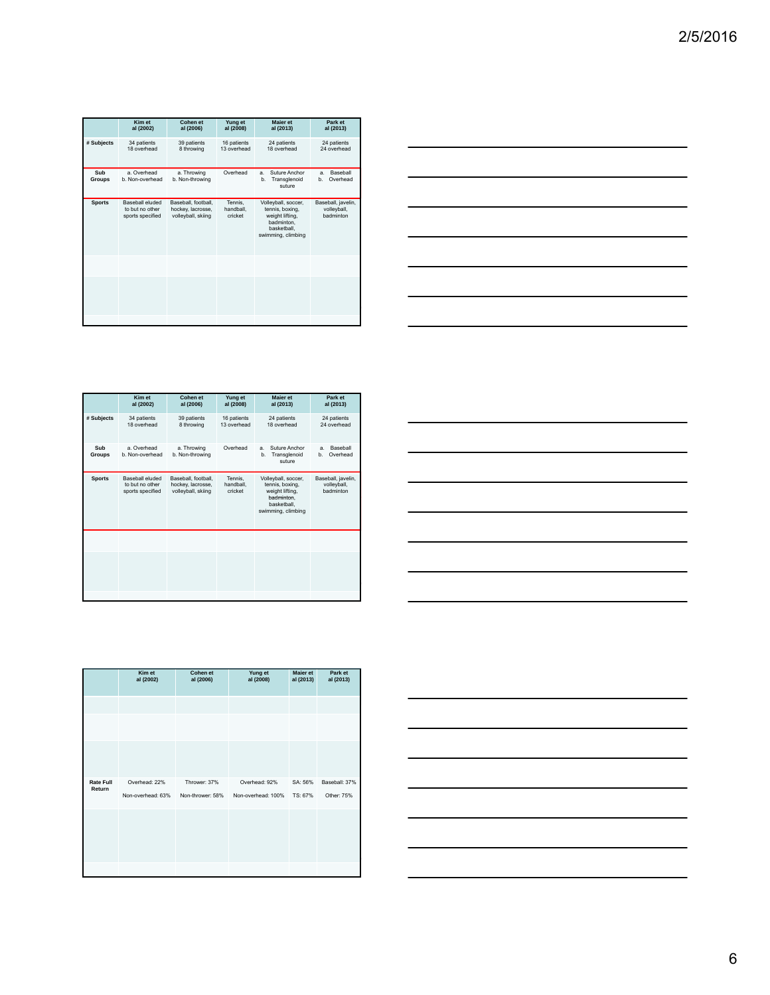|               | Kim et<br>al (2002)                                           | Cohen et<br>al (2006)                                          | Yung et<br>al (2008)            | <b>Maier</b> et<br>al (2013)                                                                                 | Park et<br>al (2013)                           |
|---------------|---------------------------------------------------------------|----------------------------------------------------------------|---------------------------------|--------------------------------------------------------------------------------------------------------------|------------------------------------------------|
| # Subjects    | 34 patients<br>18 overhead                                    | 39 patients<br>8 throwing                                      | 16 patients<br>13 overhead      | 24 patients<br>18 overhead                                                                                   | 24 patients<br>24 overhead                     |
| Sub<br>Groups | a Overhead<br>b. Non-overhead                                 | a. Throwing<br>b. Non-throwing                                 | Overhead                        | Suture Anchor<br>$\mathbf{a}$<br>Transglenoid<br>b.<br>suture                                                | <b>Baseball</b><br>a.<br>Overhead<br>b.        |
| <b>Sports</b> | <b>Baseball eluded</b><br>to but no other<br>sports specified | Baseball, football,<br>hockey, lacrosse,<br>volleyball, skiing | Tennis.<br>handball.<br>cricket | Volleyball, soccer,<br>tennis, boxing,<br>weight lifting,<br>badminton.<br>basketball.<br>swimming, climbing | Baseball, javelin,<br>volleyball,<br>hadminton |
|               |                                                               |                                                                |                                 |                                                                                                              |                                                |
|               |                                                               |                                                                |                                 |                                                                                                              |                                                |
|               |                                                               |                                                                |                                 |                                                                                                              |                                                |



|                      | Kim et<br>al (2002)                                           | Cohen et<br>al (2006)                                          | Yung et<br>al (2008)            | <b>Maier</b> et<br>al (2013)                                                                                 | Park et<br>al (2013)                              |
|----------------------|---------------------------------------------------------------|----------------------------------------------------------------|---------------------------------|--------------------------------------------------------------------------------------------------------------|---------------------------------------------------|
| # Subjects           | 34 patients<br>18 overhead                                    | 39 patients<br>8 throwing                                      | 16 patients<br>13 overhead      | 24 patients<br>18 overhead                                                                                   | 24 patients<br>24 overhead                        |
| Sub<br><b>Groups</b> | a Overhead<br>b. Non-overhead                                 | a. Throwing<br>b. Non-throwing                                 | Overhead                        | Suture Anchor<br>$\mathbf{a}$<br>b.<br>Transglenoid<br>suture                                                | <b>Baseball</b><br>$\mathbf{a}$<br>Overhead<br>b. |
| <b>Sports</b>        | <b>Baseball eluded</b><br>to but no other<br>sports specified | Baseball, football,<br>hockey, lacrosse,<br>volleyball, skiing | Tennis.<br>handball.<br>cricket | Volleyball, soccer,<br>tennis, boxing,<br>weight lifting,<br>badminton.<br>basketball.<br>swimming, climbing | Baseball, javelin,<br>volleyball,<br>hadminton    |
|                      |                                                               |                                                                |                                 |                                                                                                              |                                                   |
|                      |                                                               |                                                                |                                 |                                                                                                              |                                                   |
|                      |                                                               |                                                                |                                 |                                                                                                              |                                                   |

|                            | Kim et<br>al (2002) | Cohen et<br>al (2006) | Yung et<br>al (2008) | <b>Maier</b> et<br>al (2013) | Park et<br>al (2013) |
|----------------------------|---------------------|-----------------------|----------------------|------------------------------|----------------------|
|                            |                     |                       |                      |                              |                      |
|                            |                     |                       |                      |                              |                      |
|                            |                     |                       |                      |                              |                      |
|                            |                     |                       |                      |                              |                      |
| <b>Rate Full</b><br>Return | Overhead: 22%       | Thrower: 37%          | Overhead: 92%        | SA: 56%                      | Baseball: 37%        |
|                            | Non-overhead: 63%   | Non-thrower: 58%      | Non-overhead: 100%   | TS: 67%                      | Other: 75%           |
|                            |                     |                       |                      |                              |                      |
|                            |                     |                       |                      |                              |                      |
|                            |                     |                       |                      |                              |                      |
|                            |                     |                       |                      |                              |                      |
|                            |                     |                       |                      |                              |                      |

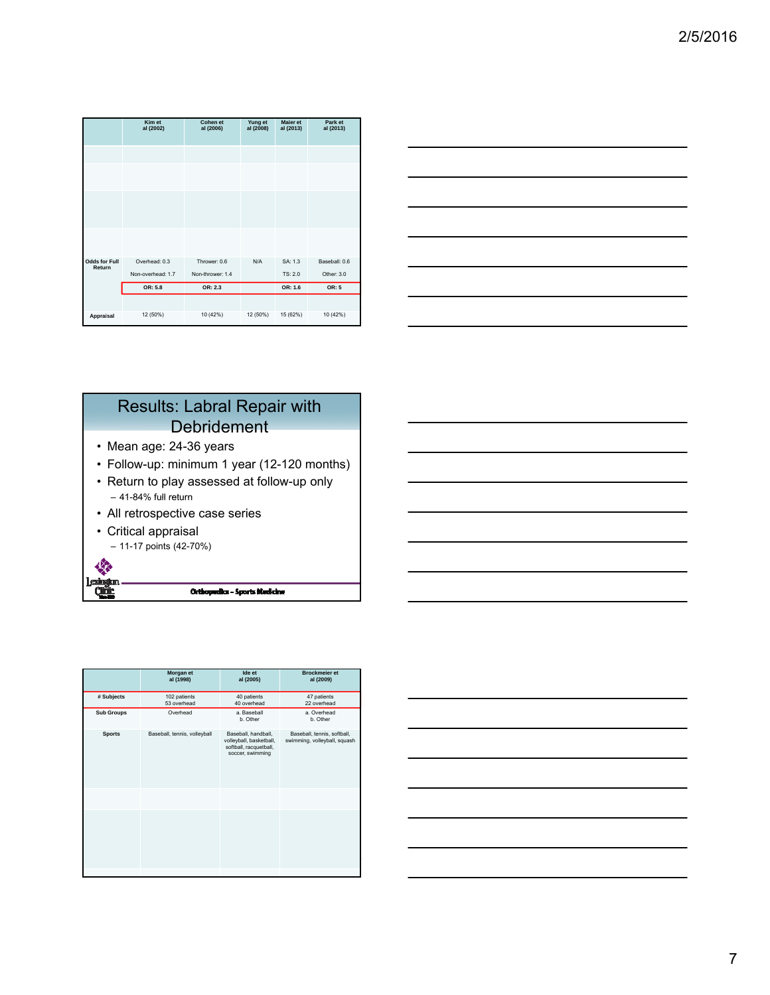|                                | Kim et<br>al (2002)                | Cohen et<br>al (2006)            | Yung et<br>al (2008) | <b>Maier et</b><br>al (2013) | Park et<br>al (2013)        |
|--------------------------------|------------------------------------|----------------------------------|----------------------|------------------------------|-----------------------------|
|                                |                                    |                                  |                      |                              |                             |
|                                |                                    |                                  |                      |                              |                             |
|                                |                                    |                                  |                      |                              |                             |
|                                |                                    |                                  |                      |                              |                             |
| <b>Odds for Full</b><br>Return | Overhead: 0.3<br>Non-overhead: 1.7 | Thrower: 0.6<br>Non-thrower: 1.4 | N/A                  | SA: 1.3<br>TS: 2.0           | Baseball: 0.6<br>Other: 3.0 |
|                                | OR: 5.8                            | OR: 2.3                          |                      | OR: 1.6                      | OR: 5                       |
|                                |                                    |                                  |                      |                              |                             |
| Appraisal                      | 12 (50%)                           | 10 (42%)                         | 12 (50%)             | 15 (62%)                     | 10 (42%)                    |

| the control of the control of the control of the control of the control of the control of the control of the control of the control of the control of the control of the control of the control of the control of the control | the control of the control of the |
|-------------------------------------------------------------------------------------------------------------------------------------------------------------------------------------------------------------------------------|-----------------------------------|
|                                                                                                                                                                                                                               |                                   |
|                                                                                                                                                                                                                               |                                   |
|                                                                                                                                                                                                                               |                                   |
|                                                                                                                                                                                                                               |                                   |
|                                                                                                                                                                                                                               |                                   |
|                                                                                                                                                                                                                               |                                   |
|                                                                                                                                                                                                                               |                                   |
|                                                                                                                                                                                                                               |                                   |
|                                                                                                                                                                                                                               |                                   |
|                                                                                                                                                                                                                               |                                   |

### Results: Labral Repair with **Debridement** • Mean age: 24-36 years • Follow-up: minimum 1 year (12-120 months) • Return to play assessed at follow-up only  $-41-84%$  full return

- All retrospective case series
- Critical appraisal

46 leshgan<br>Quar

– 11-17 points (42-70%)

| Ide et<br><b>Brockmeier et</b><br>Morgan et |                              |                                                                                              |                                                             |  |  |
|---------------------------------------------|------------------------------|----------------------------------------------------------------------------------------------|-------------------------------------------------------------|--|--|
|                                             | al (1998)                    | al (2005)                                                                                    | al (2009)                                                   |  |  |
| # Subjects                                  | 102 patients<br>53 overhead  | 40 patients<br>40 overhead                                                                   | 47 patients<br>22 overhead                                  |  |  |
| <b>Sub Groups</b>                           | Overhead                     | a. Baseball<br>b. Other                                                                      | a. Overhead<br>b. Other                                     |  |  |
| <b>Sports</b>                               | Baseball, tennis, volleyball | Baseball, handball,<br>volleyball, basketball,<br>softball, racquetball,<br>soccer, swimming | Baseball, tennis, softball,<br>swimming, volleyball, squash |  |  |
|                                             |                              |                                                                                              |                                                             |  |  |
|                                             |                              |                                                                                              |                                                             |  |  |

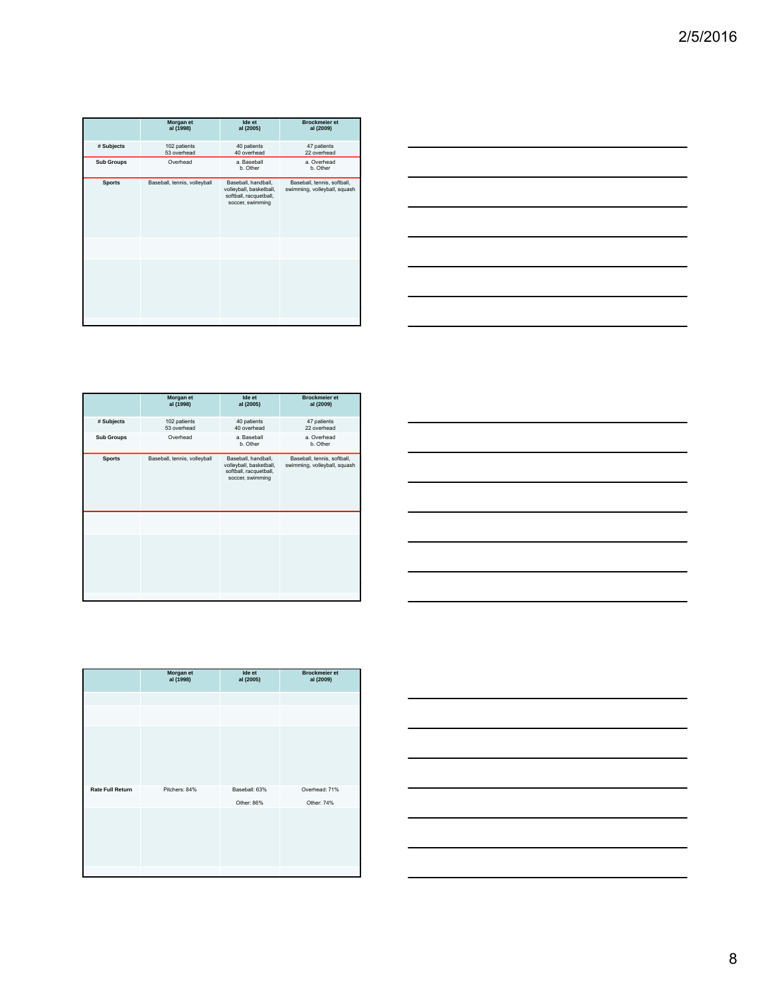|                   | Morgan et<br>al (1998)       | Ide et<br>al (2005)                                                                          | <b>Brockmeier et</b><br>al (2009)                           |
|-------------------|------------------------------|----------------------------------------------------------------------------------------------|-------------------------------------------------------------|
| # Subjects        | 102 patients<br>53 overhead  | 40 patients<br>40 overhead                                                                   | 47 patients<br>22 overhead                                  |
| <b>Sub Groups</b> | Overhead                     | a. Baseball<br>b. Other                                                                      | a. Overhead<br>b. Other                                     |
| <b>Sports</b>     | Baseball, tennis, volleyball | Baseball, handball,<br>volleyball, basketball,<br>softball, racquetball,<br>soccer, swimming | Baseball, tennis, softball,<br>swimming, volleyball, squash |
|                   |                              |                                                                                              |                                                             |
|                   |                              |                                                                                              |                                                             |



|                   | Morgan et<br>al (1998)       | Ide et<br>al (2005)                                                                          | <b>Brockmeier et</b><br>al (2009)                           |
|-------------------|------------------------------|----------------------------------------------------------------------------------------------|-------------------------------------------------------------|
| # Subjects        | 102 patients<br>53 overhead  | 40 patients<br>40 overhead                                                                   | 47 patients<br>22 overhead                                  |
| <b>Sub Groups</b> | Overhead                     | a. Baseball<br>b. Other                                                                      | a. Overhead<br>b. Other                                     |
| <b>Sports</b>     | Baseball, tennis, volleyball | Baseball, handball,<br>volleyball, basketball,<br>softball, racquetball,<br>soccer, swimming | Baseball, tennis, softball,<br>swimming, volleyball, squash |
|                   |                              |                                                                                              |                                                             |
|                   |                              |                                                                                              |                                                             |

|                         | Morgan et<br>al (1998) | Ide et<br>al (2005) | <b>Brockmeier et</b><br>al (2009) |
|-------------------------|------------------------|---------------------|-----------------------------------|
|                         |                        |                     |                                   |
|                         |                        |                     |                                   |
|                         |                        |                     |                                   |
|                         |                        |                     |                                   |
|                         |                        |                     |                                   |
|                         |                        |                     |                                   |
| <b>Rate Full Return</b> | Pitchers: 84%          | Baseball: 63%       | Overhead: 71%                     |
|                         |                        | Other: 86%          | Other: 74%                        |
|                         |                        |                     |                                   |
|                         |                        |                     |                                   |
|                         |                        |                     |                                   |
|                         |                        |                     |                                   |
|                         |                        |                     |                                   |
|                         |                        |                     |                                   |

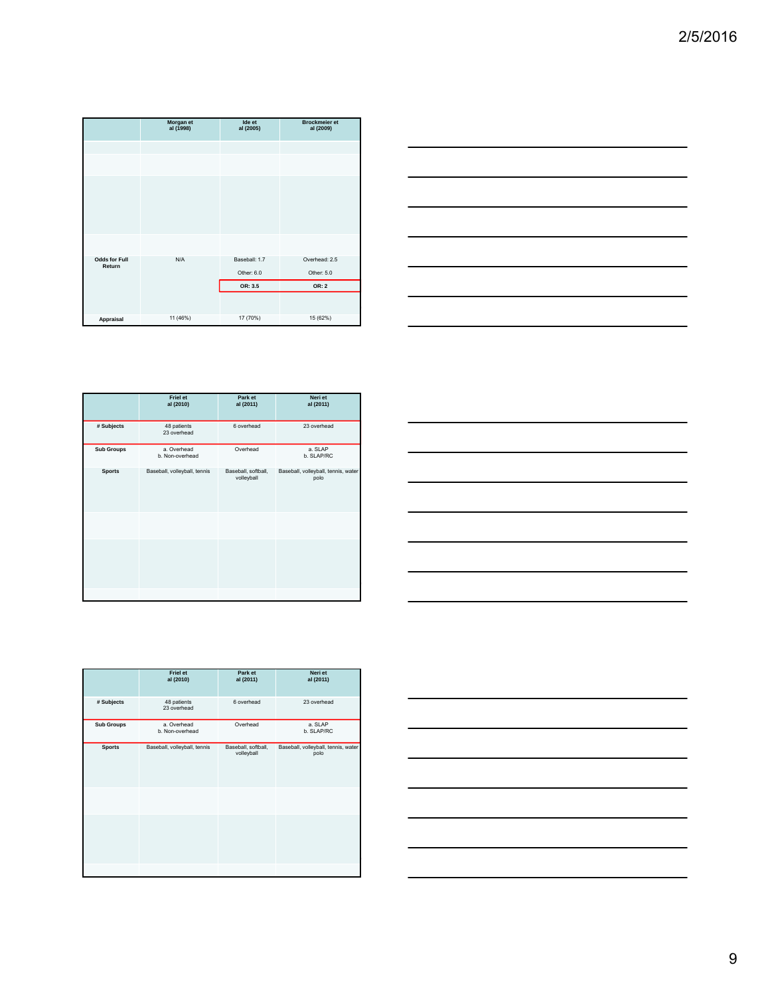|                                | Morgan et<br>al (1998) | Ide et<br>al (2005) | <b>Brockmeier et</b><br>al (2009) |
|--------------------------------|------------------------|---------------------|-----------------------------------|
|                                |                        |                     |                                   |
|                                |                        |                     |                                   |
|                                |                        |                     |                                   |
|                                |                        |                     |                                   |
| <b>Odds for Full</b><br>Return | N/A                    | Baseball: 1.7       | Overhead: 2.5                     |
|                                |                        | Other: 6.0          | Other: 5.0                        |
|                                |                        | OR: 3.5             | OR: 2                             |
|                                |                        |                     |                                   |
| Appraisal                      | 11 (46%)               | 17 (70%)            | 15 (62%)                          |



|                   | <b>Friel et</b><br>al (2010)   | Park et<br>al (2011)              | Neri et<br>al (2011)                        |
|-------------------|--------------------------------|-----------------------------------|---------------------------------------------|
| # Subjects        | 48 patients<br>23 overhead     | 6 overhead                        | 23 overhead                                 |
| <b>Sub Groups</b> | a. Overhead<br>b. Non-overhead | Overhead                          | a. SLAP<br>b. SLAP/RC                       |
| <b>Sports</b>     | Baseball, volleyball, tennis   | Baseball, softball,<br>volleyball | Baseball, volleyball, tennis, water<br>polo |
|                   |                                |                                   |                                             |
|                   |                                |                                   |                                             |
|                   |                                |                                   |                                             |

| and the control of the control of the control of the control of the control of the control of the control of the<br>____ | <u> a shekara ta 1999 a shekara ta 1999 a shekara ta 1999 a shekara ta 1999 a shekara ta 1999 a shekara ta 1999 a shekara ta 1999 a shekara ta 1999 a shekara ta 1999 a shekara ta 1999 a shekara ta 1999 a shekara ta 1999 a sh</u> |
|--------------------------------------------------------------------------------------------------------------------------|--------------------------------------------------------------------------------------------------------------------------------------------------------------------------------------------------------------------------------------|
|                                                                                                                          |                                                                                                                                                                                                                                      |
|                                                                                                                          | ___                                                                                                                                                                                                                                  |
|                                                                                                                          |                                                                                                                                                                                                                                      |
|                                                                                                                          |                                                                                                                                                                                                                                      |
|                                                                                                                          |                                                                                                                                                                                                                                      |
|                                                                                                                          |                                                                                                                                                                                                                                      |
|                                                                                                                          |                                                                                                                                                                                                                                      |
|                                                                                                                          |                                                                                                                                                                                                                                      |
|                                                                                                                          |                                                                                                                                                                                                                                      |
|                                                                                                                          |                                                                                                                                                                                                                                      |
|                                                                                                                          |                                                                                                                                                                                                                                      |
| and the control of the control of the control of the control of the control of the control of the control of the         |                                                                                                                                                                                                                                      |

|                   | <b>Friel et</b><br>al (2010)   | Park et<br>al (2011)              | Neri et<br>al (2011)                        |
|-------------------|--------------------------------|-----------------------------------|---------------------------------------------|
| # Subjects        | 48 patients<br>23 overhead     | 6 overhead                        | 23 overhead                                 |
| <b>Sub Groups</b> | a. Overhead<br>b. Non-overhead | Overhead                          | a. SLAP<br>b. SLAP/RC                       |
| <b>Sports</b>     | Baseball, volleyball, tennis   | Baseball, softball,<br>volleyball | Baseball, volleyball, tennis, water<br>polo |
|                   |                                |                                   |                                             |
|                   |                                |                                   |                                             |
|                   |                                |                                   |                                             |

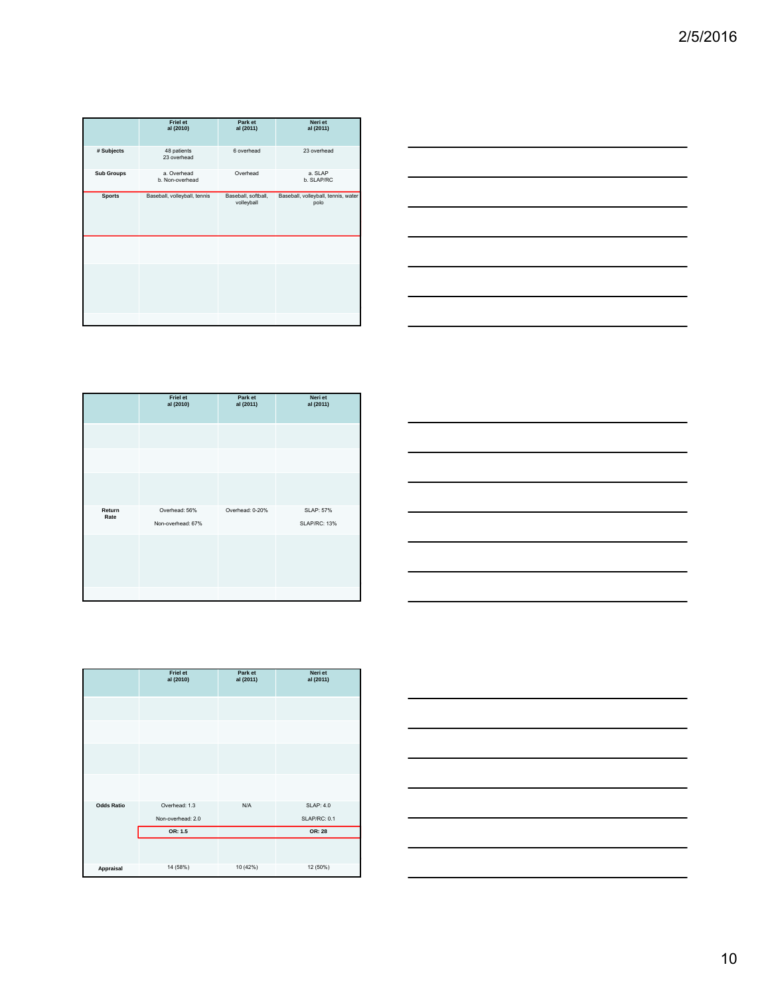|                   | Friel et<br>al (2010)         | Park et<br>al (2011)              | Neri et<br>al (2011)                        |
|-------------------|-------------------------------|-----------------------------------|---------------------------------------------|
| # Subjects        | 48 patients<br>23 overhead    | 6 overhead                        | 23 overhead                                 |
| <b>Sub Groups</b> | a Overhead<br>b. Non-overhead | Overhead                          | a SLAP<br>b. SLAP/RC                        |
| <b>Sports</b>     | Baseball, volleyball, tennis  | Baseball, softball,<br>volleyball | Baseball, volleyball, tennis, water<br>polo |
|                   |                               |                                   |                                             |
|                   |                               |                                   |                                             |
|                   |                               |                                   |                                             |



|                | Friel et<br>al (2010)              | Park et<br>al (2011) | Neri et<br>al (2011)                    |
|----------------|------------------------------------|----------------------|-----------------------------------------|
|                |                                    |                      |                                         |
|                |                                    |                      |                                         |
|                |                                    |                      |                                         |
| Return<br>Rate | Overhead: 56%<br>Non-overhead: 67% | Overhead: 0-20%      | <b>SLAP: 57%</b><br><b>SLAP/RC: 13%</b> |
|                |                                    |                      |                                         |
|                |                                    |                      |                                         |
|                |                                    |                      |                                         |



|                   | <b>Friel et</b><br>al (2010) | Park et<br>al (2011) | Neri et<br>al (2011) |
|-------------------|------------------------------|----------------------|----------------------|
|                   |                              |                      |                      |
|                   |                              |                      |                      |
|                   |                              |                      |                      |
|                   |                              |                      |                      |
| <b>Odds Ratio</b> | Overhead: 1.3                | N/A                  | <b>SLAP: 4.0</b>     |
|                   | Non-overhead: 2.0            |                      | <b>SLAP/RC: 0.1</b>  |
|                   | OR: 1.5                      |                      | OR: 28               |
|                   |                              |                      |                      |
| Appraisal         | 14 (58%)                     | 10 (42%)             | 12 (50%)             |

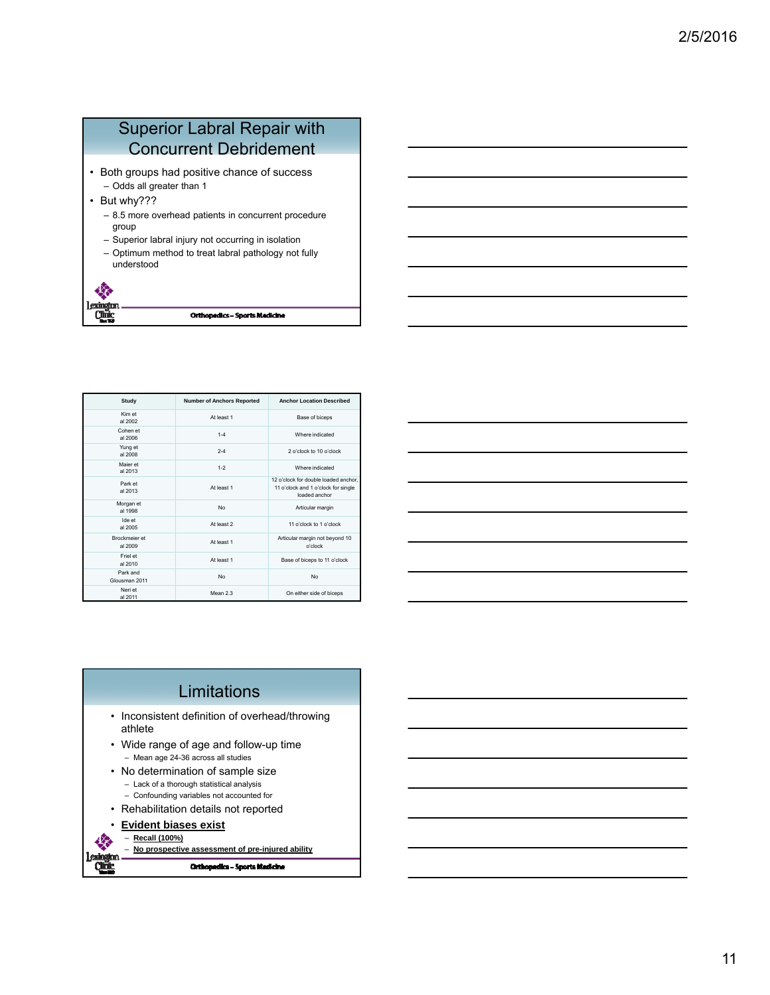## Superior Labral Repair with Concurrent Debridement

- Both groups had positive chance of success – Odds all greater than 1
- But why???
	- 8.5 more overhead patients in concurrent procedure group
	- Superior labral injury not occurring in isolation
	- Optimum method to treat labral pathology not fully understood



| Study                     | <b>Number of Anchors Reported</b> | <b>Anchor Location Described</b>                                                             |
|---------------------------|-----------------------------------|----------------------------------------------------------------------------------------------|
| Kim et<br>al 2002         | At least 1                        | Base of biceps                                                                               |
| Cohen et<br>al 2006       | $1 - 4$                           | Where indicated                                                                              |
| Yung et<br>al 2008        | $2 - 4$                           | 2 o'clock to 10 o'clock                                                                      |
| Maier et<br>al 2013       | $1 - 2$                           | Where indicated                                                                              |
| Park et<br>al 2013        | At least 1                        | 12 o'clock for double loaded anchor.<br>11 o'clock and 1 o'clock for single<br>loaded anchor |
| Morgan et<br>al 1998      | No                                | Articular margin                                                                             |
| Ide et<br>al 2005         | At least 2                        | 11 o'clock to 1 o'clock                                                                      |
| Brockmeier et<br>al 2009  | At least 1                        | Articular margin not beyond 10<br>o'clock                                                    |
| Friel et<br>al 2010       | At least 1                        | Base of biceps to 11 o'clock                                                                 |
| Park and<br>Glousman 2011 | No                                | No                                                                                           |
| Neri et<br>al 2011        | Mean 2.3                          | On either side of biceps                                                                     |

| <u> 1989 - Johann Stoff, deutscher Stoff, der Stoff, der Stoff, der Stoff, der Stoff, der Stoff, der Stoff, der S</u> |  |       |
|-----------------------------------------------------------------------------------------------------------------------|--|-------|
|                                                                                                                       |  |       |
|                                                                                                                       |  | _____ |
|                                                                                                                       |  |       |

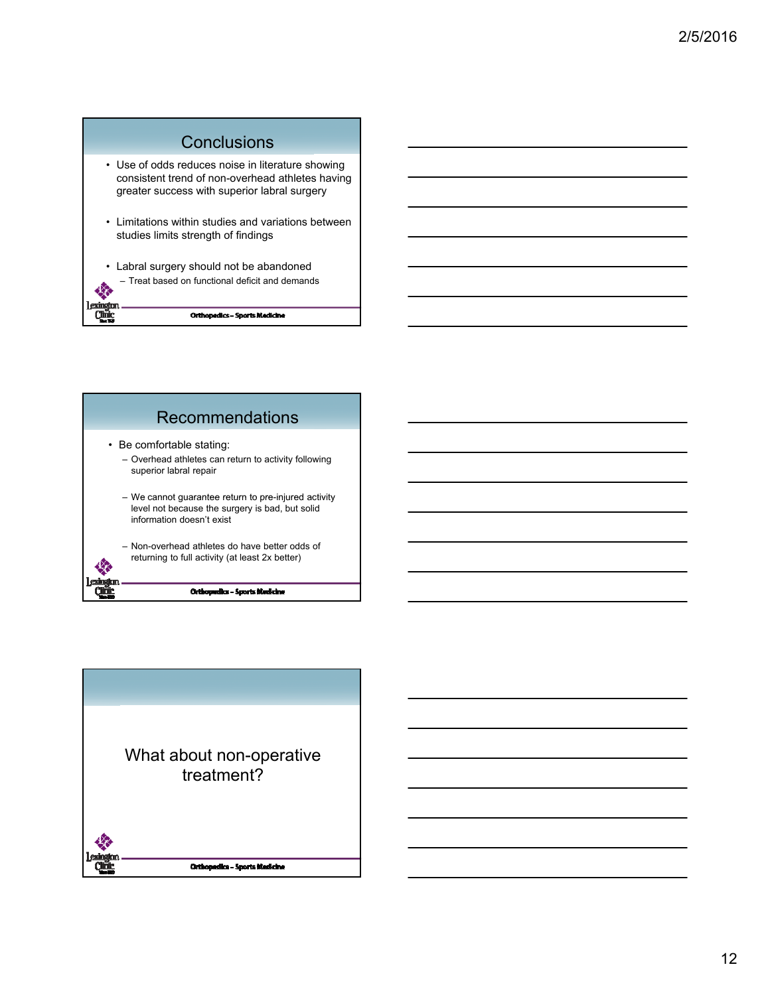



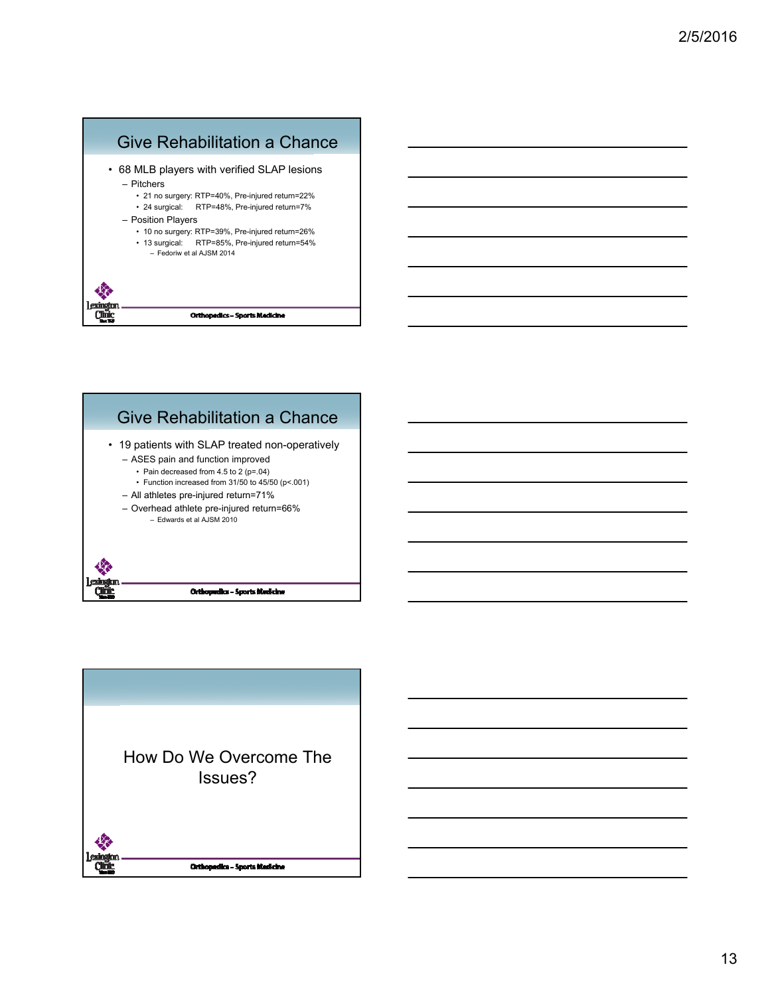



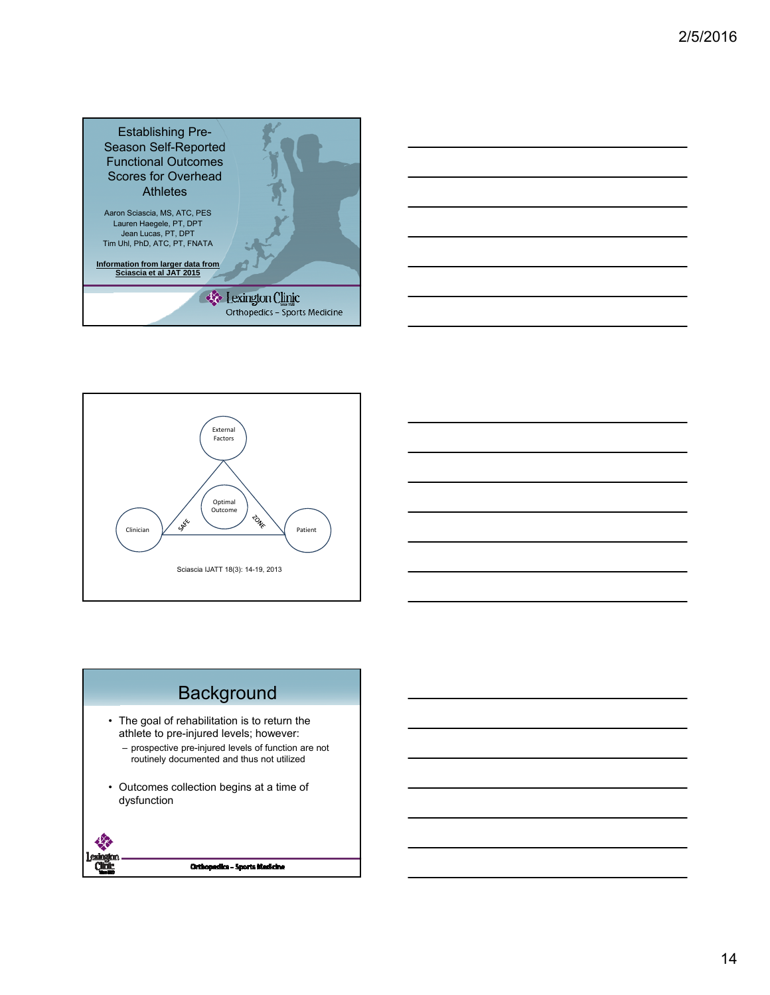





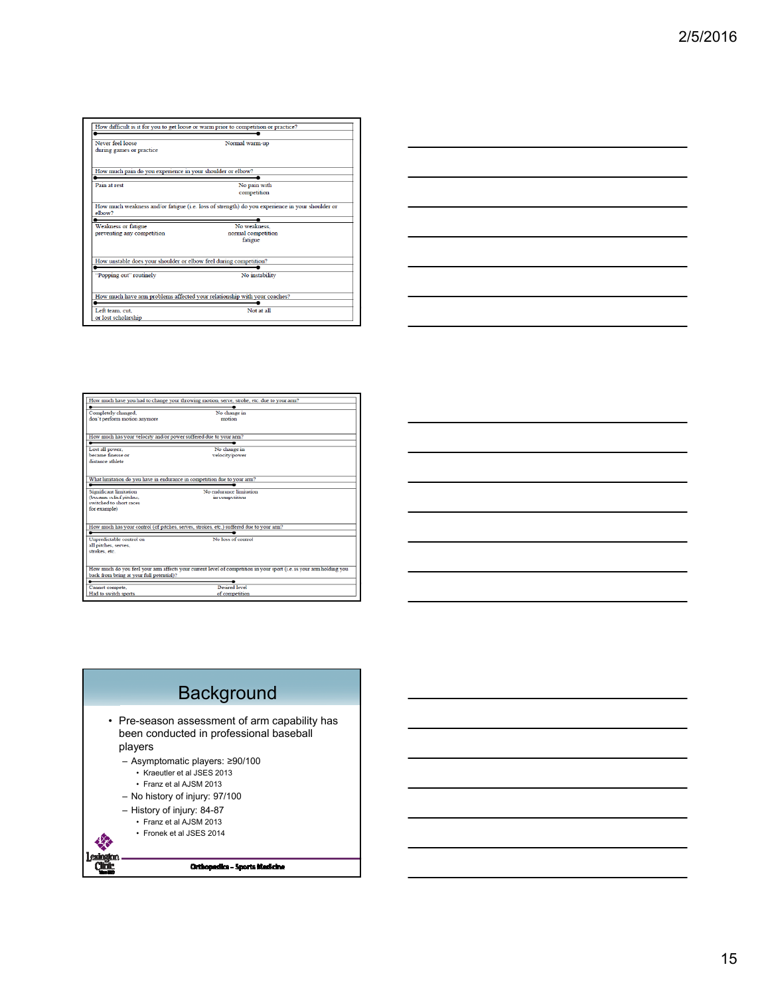| Never feel loose<br>during games or practice                                                        | Normal warm-up                                                                                 |
|-----------------------------------------------------------------------------------------------------|------------------------------------------------------------------------------------------------|
| How much pain do you experience in your shoulder or elbow?                                          |                                                                                                |
| Pain at rest                                                                                        | No pain with<br>competition                                                                    |
| elbow?                                                                                              | How much weakness and/or fatigue (i.e. loss of strength) do you experience in your shoulder or |
| Weakness or fatigue<br>preventing any competition                                                   | No weakness.<br>normal competition<br>fatigue                                                  |
| How unstable does your shoulder or elbow feel during competition?                                   |                                                                                                |
|                                                                                                     | No instability                                                                                 |
|                                                                                                     |                                                                                                |
| "Popping out" routinely<br>How much have arm problems affected your relationship with your coaches? |                                                                                                |



|                                                                                               | How much have you had to change your throwing motion, serve, stroke, etc. due to your arm?                          |
|-----------------------------------------------------------------------------------------------|---------------------------------------------------------------------------------------------------------------------|
| Completely changed.<br>don't perform motion anymore                                           | No change in<br>motion                                                                                              |
| How much has your velocity and/or power suffered due to your arm?                             |                                                                                                                     |
| Lost all power.<br>became finesse or<br>distance athlete                                      | No change in<br>velocity/power                                                                                      |
| What limitation do you have in endurance in competition due to your arm?                      |                                                                                                                     |
| Significant limitation<br>(became relief pitcher.<br>switched to short races.<br>for example) | No endurance limitation<br>in competition                                                                           |
|                                                                                               | How much has your control (of pitches, serves, strokes, etc.) suffered due to your arm?                             |
| Unpredictable control on<br>all pitches, serves,<br>strokes, etc.                             | No loss of control                                                                                                  |
| back from being at your full potential)?                                                      | How much do you feel your arm affects your current level of competition in your sport (i.e. is your arm holding you |
| Cannot compete.<br>Had to switch sports                                                       | <b>Desired</b> level<br>of competition                                                                              |

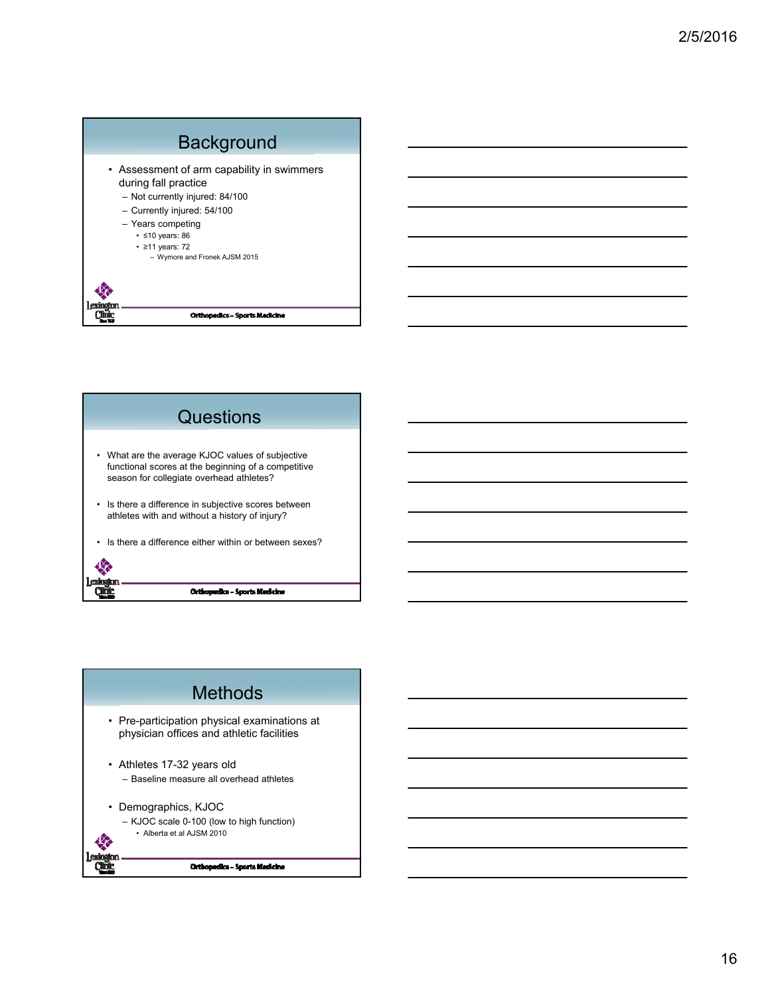



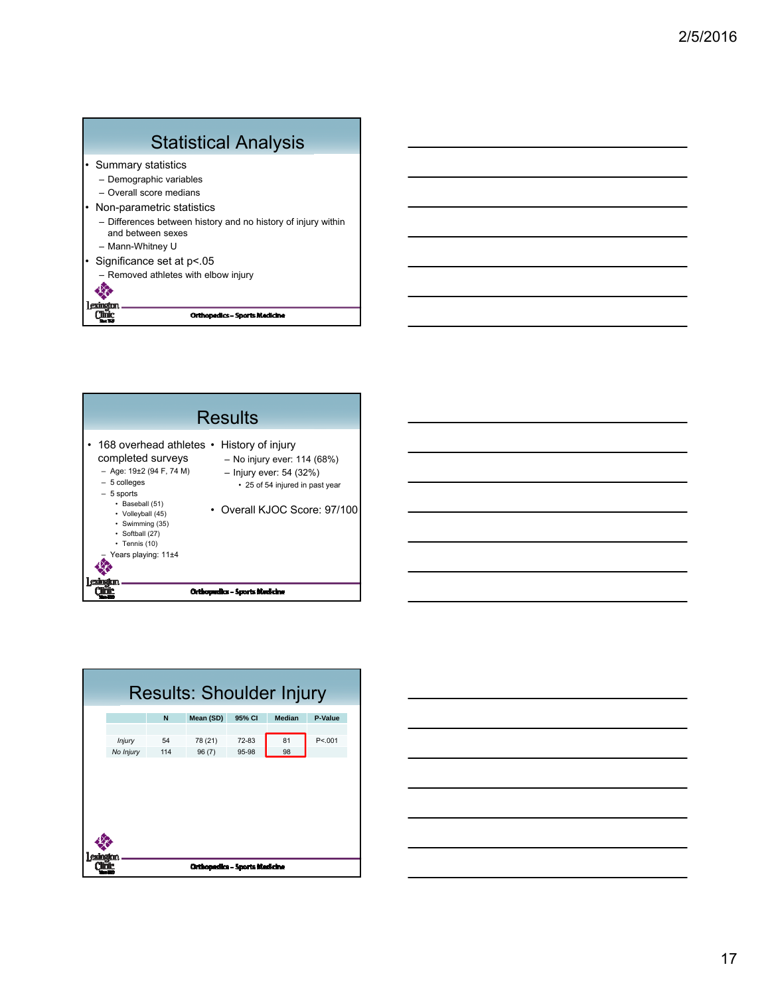





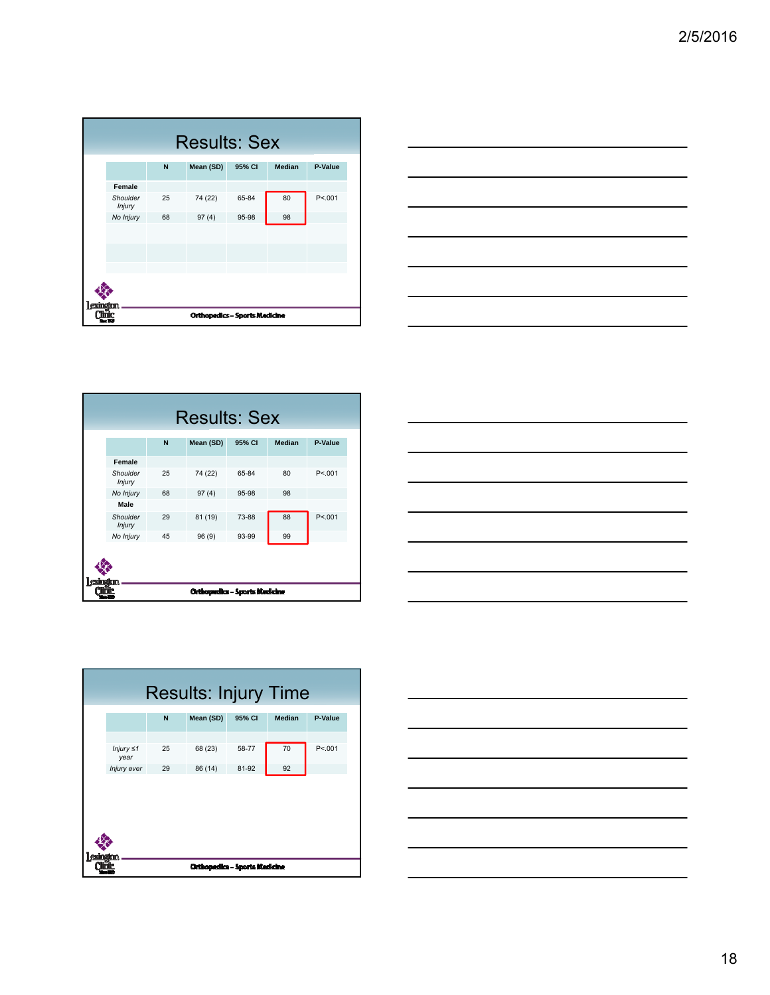|          | <b>Results: Sex</b> |    |                                      |        |               |         |
|----------|---------------------|----|--------------------------------------|--------|---------------|---------|
|          |                     | N  | Mean (SD)                            | 95% CI | <b>Median</b> | P-Value |
|          | Female              |    |                                      |        |               |         |
|          | Shoulder<br>Injury  | 25 | 74 (22)                              | 65-84  | 80            | P < 001 |
|          | No Injury           | 68 | 97(4)                                | 95-98  | 98            |         |
|          |                     |    |                                      |        |               |         |
|          |                     |    |                                      |        |               |         |
|          |                     |    |                                      |        |               |         |
|          |                     |    |                                      |        |               |         |
| exindit: |                     |    | <b>Orthopedics - Sports Medicine</b> |        |               |         |



|                               | N  | Mean (SD) | 95% CI | <b>Median</b> | P-Value |
|-------------------------------|----|-----------|--------|---------------|---------|
| Female                        |    |           |        |               |         |
| Shoulder<br><b>Injury</b>     | 25 | 74 (22)   | 65-84  | 80            | P < 001 |
| No Injury                     | 68 | 97(4)     | 95-98  | 98            |         |
| Male                          |    |           |        |               |         |
| Shoulder<br><b>Injury</b>     | 29 | 81 (19)   | 73-88  | 88            | P < 001 |
| No Injury                     | 45 | 96(9)     | 93-99  | 99            |         |
|                               |    |           |        |               |         |
| Orthopedics – Sports Medicine |    |           |        |               |         |





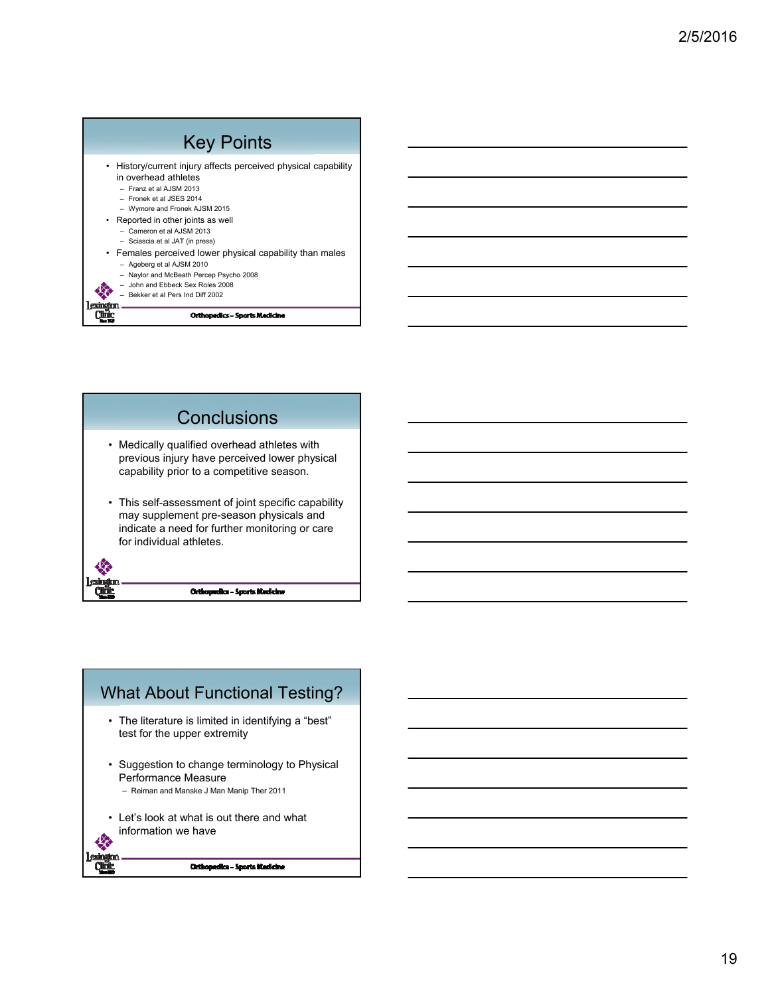| <b>Key Points</b>                                                                                                                                                                                                                                                                                                                                                                                                                                                                                |
|--------------------------------------------------------------------------------------------------------------------------------------------------------------------------------------------------------------------------------------------------------------------------------------------------------------------------------------------------------------------------------------------------------------------------------------------------------------------------------------------------|
| • History/current injury affects perceived physical capability<br>in overhead athletes<br>- Franz et al AJSM 2013<br>- Fronek et al JSES 2014<br>- Wymore and Fronek AJSM 2015<br>• Reported in other joints as well<br>$-$ Cameron et al A.ISM 2013<br>- Sciascia et al JAT (in press)<br>• Females perceived lower physical capability than males<br>- Ageberg et al AJSM 2010<br>- Naylor and McBeath Percep Psycho 2008<br>John and Ebbeck Sex Roles 2008<br>Bekker et al Pers Ind Diff 2002 |
| <b>Orthopedics - Sports Medicine</b>                                                                                                                                                                                                                                                                                                                                                                                                                                                             |



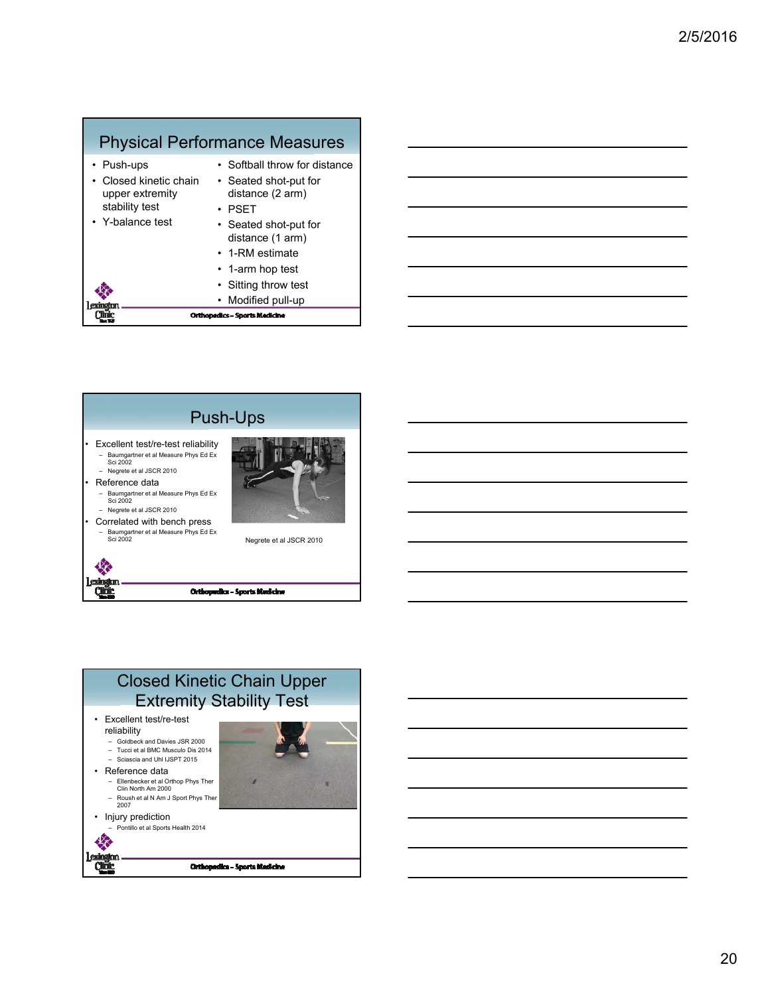### Physical Performance Measures

|                                                           | <b>Orthopedics - Sports Medicine</b>                      |
|-----------------------------------------------------------|-----------------------------------------------------------|
| l exincto                                                 | Modified pull-up                                          |
|                                                           | • Sitting throw test                                      |
|                                                           | • 1-arm hop test                                          |
|                                                           | • 1-RM estimate                                           |
| • Y-balance test                                          | • Seated shot-put for<br>distance (1 arm)                 |
| Closed kinetic chain<br>upper extremity<br>stability test | • Seated shot-put for<br>distance (2 arm)<br>$\cdot$ PSFT |
| • Push-ups                                                | • Softball throw for distance                             |



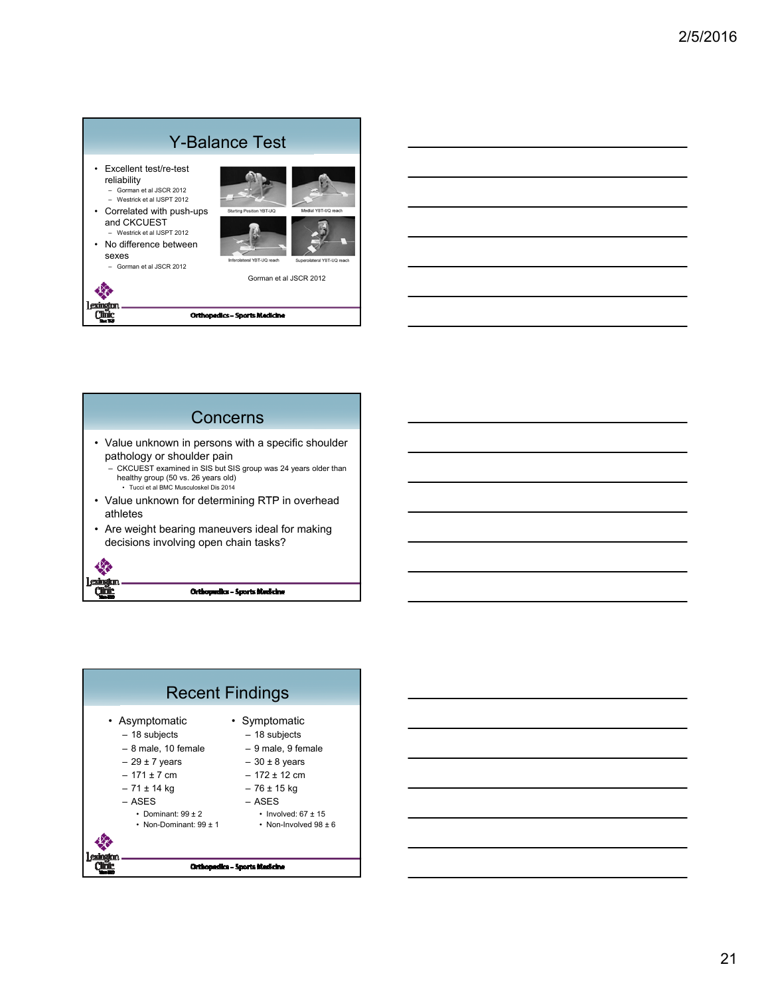|                                                                                                                                                                                                                     | <b>Y-Balance Test</b>                                  |                                                   |
|---------------------------------------------------------------------------------------------------------------------------------------------------------------------------------------------------------------------|--------------------------------------------------------|---------------------------------------------------|
| Excellent test/re-test<br>reliability<br>$-$ Gorman et al. ISCR 2012<br>- Westrick et al IJSPT 2012<br>• Correlated with push-ups<br>and CKCUEST<br>- Westrick et al IJSPT 2012<br>• No difference between<br>sexes | Starting Position YBT-UQ<br>Inferolateral YBT-UQ reach | Medial YBT-UQ reach<br>Superolateral YBT-UQ reach |
| Gorman et al JSCR 2012                                                                                                                                                                                              | Gorman et al JSCR 2012                                 |                                                   |
|                                                                                                                                                                                                                     |                                                        |                                                   |
|                                                                                                                                                                                                                     | <b>Orthopedics - Sports Medicine</b>                   |                                                   |



Orthopedics - Sports Medicine

œř



| <u> 1989 - Andrea Santana, amerikana amerikana amerikana amerikana amerikana amerikana amerikana amerikana amerik</u> |  |  |
|-----------------------------------------------------------------------------------------------------------------------|--|--|
| <u> 1989 - Johann Barn, amerikan bernama di sebagai bernama dan bernama di sebagai bernama dalam bernama dalam b</u>  |  |  |
| <u> 1989 - Johann Stoff, deutscher Stoff, der Stoff, der Stoff, der Stoff, der Stoff, der Stoff, der Stoff, der S</u> |  |  |
| <u> 1989 - Johann Stein, marwolaethau a bhann an t-Amhair an t-Amhair an t-Amhair an t-Amhair an t-Amhair an t-A</u>  |  |  |
| <u> 1989 - Johann Stoff, amerikansk politiker (d. 1989)</u>                                                           |  |  |
|                                                                                                                       |  |  |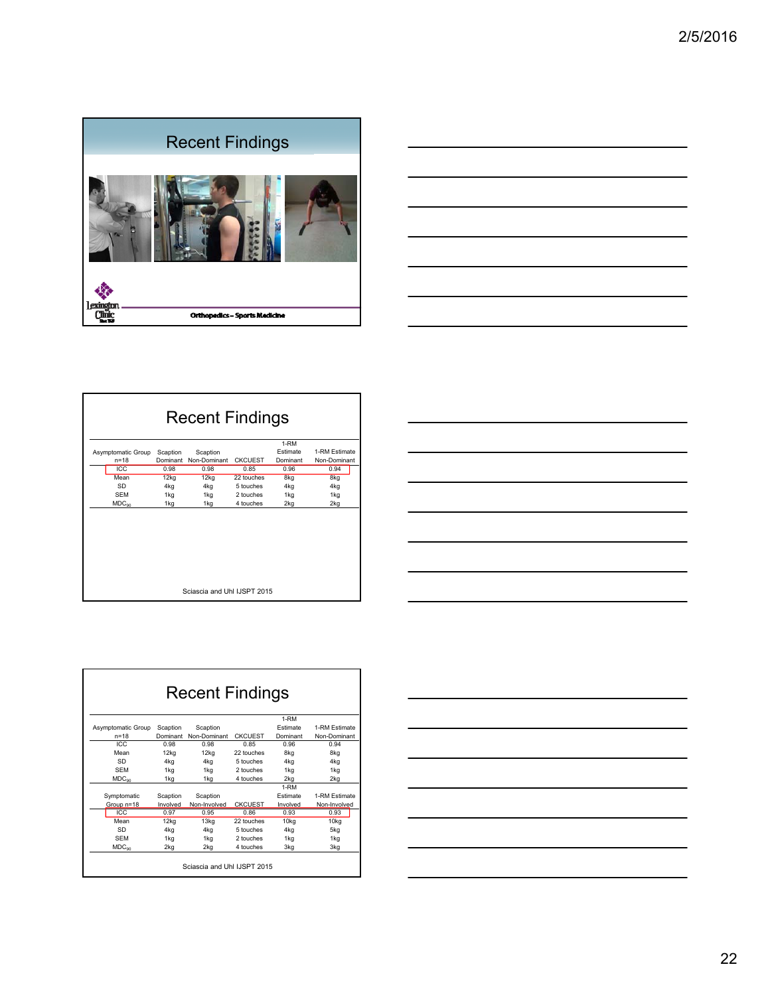



| <b>Recent Findings</b>      |          |              |                |                    |               |  |  |
|-----------------------------|----------|--------------|----------------|--------------------|---------------|--|--|
|                             |          |              |                | $\overline{1}$ -RM |               |  |  |
| Asymptomatic Group          | Scaption | Scaption     |                | Estimate           | 1-RM Estimate |  |  |
| $n = 18$                    | Dominant | Non-Dominant | <b>CKCUFST</b> | Dominant           | Non-Dominant  |  |  |
| ICC                         | 0.98     | 0.98         | 0.85           | 0.96               | 0.94          |  |  |
| Mean                        | 12kq     | 12kq         | 22 touches     | 8kg                | 8kg           |  |  |
| SD                          | 4kg      | 4kg          | 5 touches      | 4kg                | 4kg           |  |  |
| <b>SFM</b>                  | 1kg      | 1kg          | 2 touches      | 1kg                | 1kg           |  |  |
| MDC <sub>90</sub>           | 1kg      | 1kg          | 4 touches      | 2kg                | 2kg           |  |  |
|                             |          |              |                |                    |               |  |  |
| Sciascia and Uhl IJSPT 2015 |          |              |                |                    |               |  |  |

| the control of the control of the control of the control of the control of the control of the control of the control of the control of the control of the control of the control of the control of the control of the control |  |       |
|-------------------------------------------------------------------------------------------------------------------------------------------------------------------------------------------------------------------------------|--|-------|
|                                                                                                                                                                                                                               |  |       |
|                                                                                                                                                                                                                               |  |       |
|                                                                                                                                                                                                                               |  |       |
|                                                                                                                                                                                                                               |  |       |
|                                                                                                                                                                                                                               |  |       |
|                                                                                                                                                                                                                               |  |       |
| <u> Andreas Andreas Andreas Andreas Andreas Andreas Andreas Andreas Andreas Andreas Andreas Andreas Andreas Andr</u>                                                                                                          |  |       |
|                                                                                                                                                                                                                               |  |       |
|                                                                                                                                                                                                                               |  |       |
|                                                                                                                                                                                                                               |  |       |
|                                                                                                                                                                                                                               |  |       |
|                                                                                                                                                                                                                               |  |       |
|                                                                                                                                                                                                                               |  |       |
| <u> Andreas Andreas Andreas Andreas Andreas Andreas Andreas Andreas Andreas Andreas Andreas Andreas Andreas Andr</u>                                                                                                          |  | _____ |
|                                                                                                                                                                                                                               |  |       |
|                                                                                                                                                                                                                               |  |       |
|                                                                                                                                                                                                                               |  |       |
|                                                                                                                                                                                                                               |  |       |
|                                                                                                                                                                                                                               |  |       |
|                                                                                                                                                                                                                               |  |       |
|                                                                                                                                                                                                                               |  |       |

| <b>Recent Findings</b>      |          |              |                |                 |               |
|-----------------------------|----------|--------------|----------------|-----------------|---------------|
|                             |          |              |                | 1-RM            |               |
| Asymptomatic Group          | Scaption | Scaption     |                | <b>Estimate</b> | 1-RM Estimate |
| $n = 18$                    | Dominant | Non-Dominant | <b>CKCUEST</b> | Dominant        | Non-Dominant  |
| ICC.                        | 0.98     | 0.98         | 0.85           | 0.96            | 0.94          |
| Mean                        | 12kg     | 12kg         | 22 touches     | 8kg             | 8kg           |
| SD                          | 4kg      | 4kg          | 5 touches      | 4kg             | 4kg           |
| <b>SFM</b>                  | 1kg      | 1kg          | 2 touches      | 1kg             | 1kg           |
| MDC <sub>on</sub>           | 1kg      | 1kg          | 4 touches      | 2kg             | 2kg           |
|                             |          |              |                | 1-RM            |               |
| Symptomatic                 | Scaption | Scaption     |                | <b>Estimate</b> | 1-RM Estimate |
| Group n=18                  | Involved | Non-Involved | <b>CKCUFST</b> | Involved        | Non-Involved  |
| ICC                         | 0.97     | 0.95         | 0.86           | 0.93            | 0.93          |
| Mean                        | 12kg     | 13kg         | 22 touches     | 10kg            | 10kg          |
| SD                          | 4kg      | 4kg          | 5 touches      | 4kg             | 5kg           |
| <b>SFM</b>                  | 1kg      | 1kg          | 2 touches      | 1kg             | 1kg           |
| MDC <sub>90</sub>           | 2kg      | 2kg          | 4 touches      | 3kg             | 3kg           |
| Sciascia and Uhl IJSPT 2015 |          |              |                |                 |               |

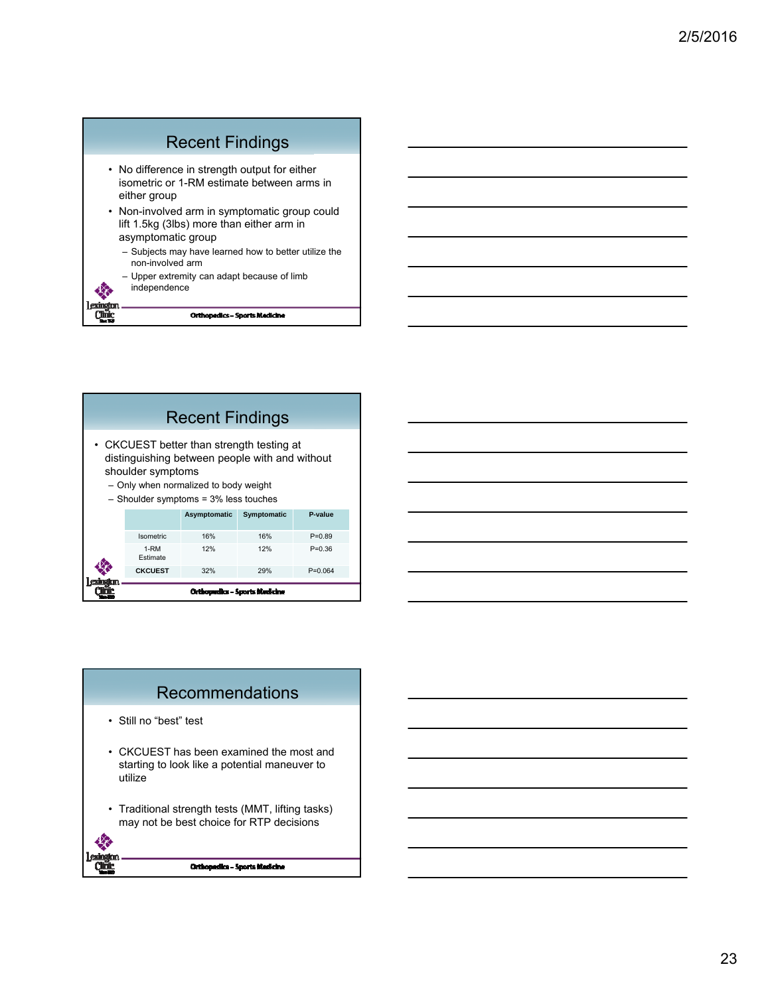



## Recommendations

- Still no "best" test
- CKCUEST has been examined the most and starting to look like a potential maneuver to utilize
- Traditional strength tests (MMT, lifting tasks) may not be best choice for RTP decisions